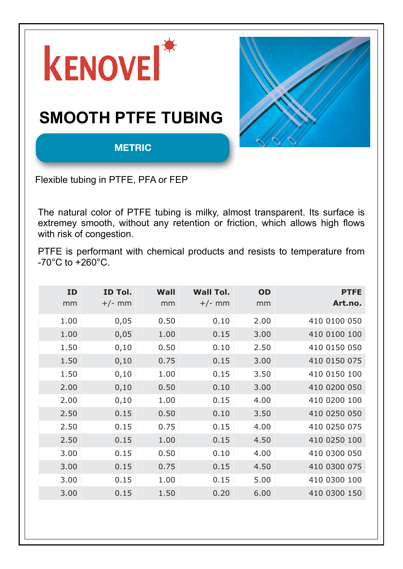

according to customer demands. The following theoretical fi gures are valid for products with normal various in regards to tolerances, density, tensile strength, etc. In our production, we continuously test tensile strength, crystallinity, diffusion and changes in length. Please observe that following fi gures are only guidance for construction purposes. A critical application, practical tests should be performed to ensure correct values. The

values is valid at room temperature, 20 oC.

**5/32 1.19** 35 70 4.20

Flexible tubing in PTFE, PFA or FEP

The natural color of PTFE tubing is milky, almost transparent. Its surface is  $\qquad \qquad \mid$ extremey smooth, without any retention or friction, which allows high flows | | with risk of congestion. **3/32 0.40** 25 40 0.80

PTFE is performant with chemical products and resists to temperature from  $\vert \; \vert$ -70°C to +260°C.  $\sim$  1.0111<sub>2</sub>  $\sim$  1.0111<sub>211</sub><sup>311</sup><sub>31</sub><sup>4</sup> **1/8 1.59** 25 120 5.10 Here is no forment with obemies producte and resists to temperature from  $\|\cdot\|$ The is performant with diffinical products and resists to temperature from [11]  $\overline{\text{O}}$  to the figure strength, crystallinity, diffusion and changes in length, diffusion and changes in length.

| ID   | ID Tol.  | Wall | <b>Wall Tol.</b> | OD   | <b>PTFE</b>  |
|------|----------|------|------------------|------|--------------|
| mm   | $+/-$ mm | mm   | $+/-$ mm         | mm   | Art.no.      |
| 1.00 | 0,05     | 0.50 | 0.10             | 2.00 | 410 0100 050 |
| 1.00 | 0,05     | 1.00 | 0.15             | 3.00 | 410 0100 100 |
| 1.50 | 0,10     | 0.50 | 0.10             | 2.50 | 410 0150 050 |
| 1.50 | 0,10     | 0.75 | 0.15             | 3.00 | 410 0150 075 |
| 1.50 | 0,10     | 1.00 | 0.15             | 3.50 | 410 0150 100 |
| 2.00 | 0,10     | 0.50 | 0.10             | 3.00 | 410 0200 050 |
| 2.00 | 0,10     | 1.00 | 0.15             | 4.00 | 410 0200 100 |
| 2.50 | 0.15     | 0.50 | 0.10             | 3.50 | 410 0250 050 |
| 2.50 | 0.15     | 0.75 | 0.15             | 4.00 | 410 0250 075 |
| 2.50 | 0.15     | 1.00 | 0.15             | 4.50 | 410 0250 100 |
| 3.00 | 0.15     | 0.50 | 0.10             | 4.00 | 410 0300 050 |
| 3.00 | 0.15     | 0.75 | 0.15             | 4.50 | 410 0300 075 |
| 3.00 | 0.15     | 1.00 | 0.15             | 5.00 | 410 0300 100 |
| 3.00 | 0.15     | 1.50 | 0.20             | 6.00 | 410 0300 150 |

 $3.50$  0.15  $\pm$  0.15  $\pm$  0.15  $\pm$  0.15  $\pm$  0.15  $\pm$  0.15  $\pm$  0.15  $\pm$  0.15  $\pm$  0.15  $\pm$  0.15  $\pm$  0.15  $\pm$  $3.50$  0.15  $\pm$  0.15  $\pm$  0.15  $\pm$  0.15  $\pm$  0.15  $\pm$  0.15  $\pm$  0.15  $\pm$  0.15  $\pm$  0.15  $\pm$  0.15  $\pm$  0.15  $\pm$  $4.00$  0.15  $\pm$  0.15  $\pm$  0.10  $\pm$  0.15  $\pm$  0.10  $\pm$  0.10  $\pm$  0.10  $\pm$  0.10  $\pm$  0.10  $\pm$  $\mathcal{A} = \mathcal{A} \cup \mathcal{A} = \mathcal{A} \cup \mathcal{A} = \mathcal{A} \cup \mathcal{A} = \mathcal{A} \cup \mathcal{A} = \mathcal{A} \cup \mathcal{A} = \mathcal{A} \cup \mathcal{A} = \mathcal{A} \cup \mathcal{A} = \mathcal{A} \cup \mathcal{A} = \mathcal{A} \cup \mathcal{A} = \mathcal{A} \cup \mathcal{A} = \mathcal{A} \cup \mathcal{A} = \mathcal{A} \cup \mathcal{A} = \mathcal{A} \cup \mathcal{A} = \mathcal{A} \cup \mathcal{A} = \mathcal$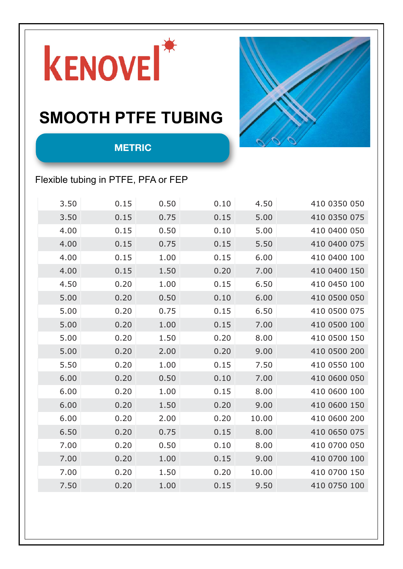

#### SMOOTH PTFE TUBING  $2.50$  0.11 1.1 1.1 1.10 1.00 1.10  $2.5$   $2.5$   $2.5$   $2.5$   $2.5$   $2.5$   $2.5$   $2.5$   $2.5$   $2.5$   $2.5$   $2.5$   $2.5$   $2.5$   $2.5$   $2.5$   $2.5$   $2.5$   $2.5$   $2.5$   $2.5$   $2.5$   $2.5$   $2.5$   $2.5$   $2.5$   $2.5$   $2.5$   $2.5$   $2.5$   $2.5$



**Habia Teknofl uor AB • 741 80 Knivsta, Sweden • Tel: +46 (0)18 34 75 00 • Fax: +46 (0)18 34 75 75**

1.00 1.000 1.000 1.000 1.000 1.000 1.000 1.000 1.000 1.000 1.000 1.000 1.000 1.000 1.000 1.000 1.000 1.000 1.0<br>.000 1.000 1.000 1.000 1.000 1.000 1.000 1.000 1.000 1.000 1.000 1.000 1.000 1.000 1.000 1.000 1.000 1.000 1.0

**Art.no.**

#### **METRIC**

#### Flexible tubing in PTFE, PFA or FEP **1.00 a.15 1.00 a.15 1.00 a.15 1.00 a.15 5.00 47.00 47.00 47.00 47.00 47.00**

| 3.50 | 0.15 | 0.50 | 0.10 | 4.50  | 410 0350 050 |  |
|------|------|------|------|-------|--------------|--|
| 3.50 | 0.15 | 0.75 | 0.15 | 5.00  | 410 0350 075 |  |
| 4.00 | 0.15 | 0.50 | 0.10 | 5.00  | 410 0400 050 |  |
| 4.00 | 0.15 | 0.75 | 0.15 | 5.50  | 410 0400 075 |  |
| 4.00 | 0.15 | 1.00 | 0.15 | 6.00  | 410 0400 100 |  |
| 4.00 | 0.15 | 1.50 | 0.20 | 7.00  | 410 0400 150 |  |
| 4.50 | 0.20 | 1.00 | 0.15 | 6.50  | 410 0450 100 |  |
| 5.00 | 0.20 | 0.50 | 0.10 | 6.00  | 410 0500 050 |  |
| 5.00 | 0.20 | 0.75 | 0.15 | 6.50  | 410 0500 075 |  |
| 5.00 | 0.20 | 1.00 | 0.15 | 7.00  | 410 0500 100 |  |
| 5.00 | 0.20 | 1.50 | 0.20 | 8.00  | 410 0500 150 |  |
| 5.00 | 0.20 | 2.00 | 0.20 | 9.00  | 410 0500 200 |  |
| 5.50 | 0.20 | 1.00 | 0.15 | 7.50  | 410 0550 100 |  |
| 6.00 | 0.20 | 0.50 | 0.10 | 7.00  | 410 0600 050 |  |
| 6.00 | 0.20 | 1.00 | 0.15 | 8.00  | 410 0600 100 |  |
| 6.00 | 0.20 | 1.50 | 0.20 | 9.00  | 410 0600 150 |  |
| 6.00 | 0.20 | 2.00 | 0.20 | 10.00 | 410 0600 200 |  |
| 6.50 | 0.20 | 0.75 | 0.15 | 8.00  | 410 0650 075 |  |
| 7.00 | 0.20 | 0.50 | 0.10 | 8.00  | 410 0700 050 |  |
| 7.00 | 0.20 | 1.00 | 0.15 | 9.00  | 410 0700 100 |  |
| 7.00 | 0.20 | 1.50 | 0.20 | 10.00 | 410 0700 150 |  |
| 7.50 | 0.20 | 1.00 | 0.15 | 9.50  | 410 0750 100 |  |
|      |      |      |      |       |              |  |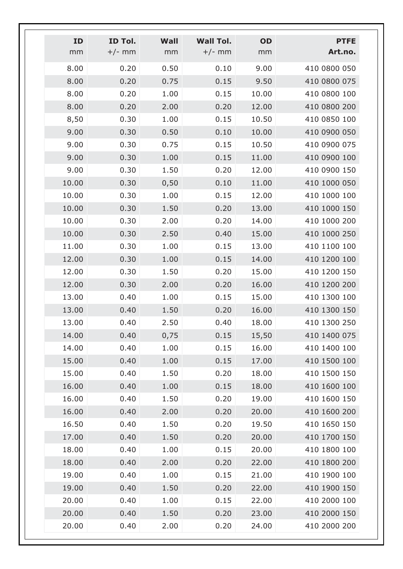| <b>PTFE</b>  | OD    | <b>Wall Tol.</b> | Wall | ID Tol.  | ID    |
|--------------|-------|------------------|------|----------|-------|
| Art.no.      | mm    | $+/-$ mm         | mm   | $+/-$ mm | mm    |
| 410 0800 050 | 9.00  | 0.10             | 0.50 | 0.20     | 8.00  |
| 410 0800 075 | 9.50  | 0.15             | 0.75 | 0.20     | 8.00  |
| 410 0800 100 | 10.00 | 0.15             | 1.00 | 0.20     | 8.00  |
| 410 0800 200 | 12.00 | 0.20             | 2.00 | 0.20     | 8.00  |
| 410 0850 100 | 10.50 | 0.15             | 1.00 | 0.30     | 8,50  |
| 410 0900 050 | 10.00 | 0.10             | 0.50 | 0.30     | 9.00  |
| 410 0900 075 | 10.50 | 0.15             | 0.75 | 0.30     | 9.00  |
| 410 0900 100 | 11.00 | 0.15             | 1.00 | 0.30     | 9.00  |
| 410 0900 150 | 12.00 | 0.20             | 1.50 | 0.30     | 9.00  |
| 410 1000 050 | 11.00 | 0.10             | 0,50 | 0.30     | 10.00 |
| 410 1000 100 | 12.00 | 0.15             | 1.00 | 0.30     | 10.00 |
| 410 1000 150 | 13.00 | 0.20             | 1.50 | 0.30     | 10.00 |
| 410 1000 200 | 14.00 | 0.20             | 2.00 | 0.30     | 10.00 |
| 410 1000 250 | 15.00 | 0.40             | 2.50 | 0.30     | 10.00 |
| 410 1100 100 | 13.00 | 0.15             | 1.00 | 0.30     | 11.00 |
| 410 1200 100 | 14.00 | 0.15             | 1.00 | 0.30     | 12.00 |
| 410 1200 150 | 15.00 | 0.20             | 1.50 | 0.30     | 12.00 |
| 410 1200 200 | 16.00 | 0.20             | 2.00 | 0.30     | 12.00 |
| 410 1300 100 | 15.00 | 0.15             | 1.00 | 0.40     | 13.00 |
| 410 1300 150 | 16.00 | 0.20             | 1.50 | 0.40     | 13.00 |
| 410 1300 250 | 18.00 | 0.40             | 2.50 | 0.40     | 13.00 |
| 410 1400 075 | 15,50 | 0.15             | 0,75 | 0.40     | 14.00 |
| 410 1400 100 | 16.00 | 0.15             | 1.00 | 0.40     | 14.00 |
| 410 1500 100 | 17.00 | 0.15             | 1.00 | 0.40     | 15.00 |
| 410 1500 150 | 18.00 | 0.20             | 1.50 | 0.40     | 15.00 |
| 410 1600 100 | 18.00 | 0.15             | 1.00 | 0.40     | 16.00 |
| 410 1600 150 | 19.00 | 0.20             | 1.50 | 0.40     | 16.00 |
| 410 1600 200 | 20.00 | 0.20             | 2.00 | 0.40     | 16.00 |
| 410 1650 150 | 19.50 | 0.20             | 1.50 | 0.40     | 16.50 |
| 410 1700 150 | 20.00 | 0.20             | 1.50 | 0.40     | 17.00 |
| 410 1800 100 | 20.00 | 0.15             | 1.00 | 0.40     | 18.00 |
| 410 1800 200 | 22.00 | 0.20             | 2.00 | 0.40     | 18.00 |
| 410 1900 100 | 21.00 | 0.15             | 1.00 | 0.40     | 19.00 |
| 410 1900 150 | 22.00 | 0.20             | 1.50 | 0.40     | 19.00 |
| 410 2000 100 | 22.00 | 0.15             | 1.00 | 0.40     | 20.00 |
| 410 2000 150 | 23.00 | 0.20             | 1.50 | 0.40     | 20.00 |
| 410 2000 200 | 24.00 | 0.20             | 2.00 | 0.40     | 20.00 |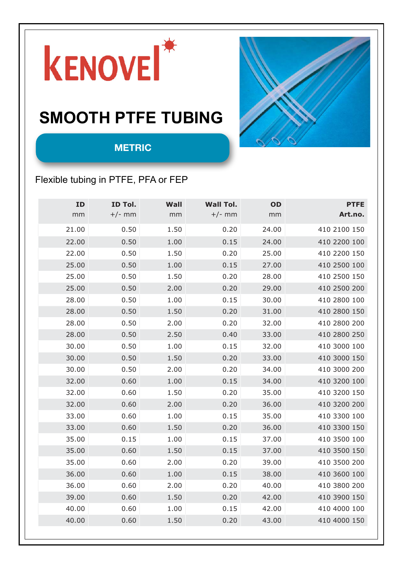

# **SMOOTH PTFE TUSING**



#### Flexible tubing in PTFE, PFA or FEP

 $ER$ 

| ID    | ID Tol.  | Wall | <b>Wall Tol.</b> | <b>OD</b> | <b>PTFE</b>  |
|-------|----------|------|------------------|-----------|--------------|
| mm    | $+/-$ mm | mm   | $+/-$ mm         | mm        | Art.no.      |
| 21.00 | 0.50     | 1.50 | 0.20             | 24.00     | 410 2100 150 |
| 22.00 | 0.50     | 1.00 | 0.15             | 24.00     | 410 2200 100 |
| 22.00 | 0.50     | 1.50 | 0.20             | 25.00     | 410 2200 150 |
| 25.00 | 0.50     | 1.00 | 0.15             | 27.00     | 410 2500 100 |
| 25.00 | 0.50     | 1.50 | 0.20             | 28.00     | 410 2500 150 |
| 25.00 | 0.50     | 2.00 | 0.20             | 29.00     | 410 2500 200 |
| 28.00 | 0.50     | 1.00 | 0.15             | 30.00     | 410 2800 100 |
| 28.00 | 0.50     | 1.50 | 0.20             | 31.00     | 410 2800 150 |
| 28.00 | 0.50     | 2.00 | 0.20             | 32.00     | 410 2800 200 |
| 28.00 | 0.50     | 2.50 | 0.40             | 33.00     | 410 2800 250 |
| 30.00 | 0.50     | 1.00 | 0.15             | 32.00     | 410 3000 100 |
| 30.00 | 0.50     | 1.50 | 0.20             | 33.00     | 410 3000 150 |
| 30.00 | 0.50     | 2.00 | 0.20             | 34.00     | 410 3000 200 |
| 32.00 | 0.60     | 1.00 | 0.15             | 34.00     | 410 3200 100 |
| 32.00 | 0.60     | 1.50 | 0.20             | 35.00     | 410 3200 150 |
| 32.00 | 0.60     | 2.00 | 0.20             | 36.00     | 410 3200 200 |
| 33.00 | 0.60     | 1.00 | 0.15             | 35.00     | 410 3300 100 |
| 33.00 | 0.60     | 1.50 | 0.20             | 36.00     | 410 3300 150 |
| 35.00 | 0.15     | 1.00 | 0.15             | 37.00     | 410 3500 100 |
| 35.00 | 0.60     | 1.50 | 0.15             | 37.00     | 410 3500 150 |
| 35.00 | 0.60     | 2.00 | Q.20             | 39.00     | 410 3500 200 |
| 36.00 | 0.60     | 1.00 | 0.15             | 38.00     | 410 3600 100 |
| 36.00 | 0.60     | 2.00 | $\sqrt{20}$      | 40.00     | 410 3800 200 |
| 39.00 | 0.60     | 1.50 | 0.20             | 42.00     | 410 3900 150 |
| 40.00 | 0.60     | 1.00 | 0.15             | 42.00     | 410 4000 100 |
| 40.00 | 0.60     | 1.50 | 0.20             | 43.00     | 410 4000 150 |
|       |          |      |                  |           |              |

fi gures are valid for products with normal various in regards to  $t_{\rm max}$  $\mathbf{w}$ and changes in length. Please observe that following fi gures are only guidance for construction purposes. A critical application, practical tests should be performed to ensure correct values. The

values is valid at room temperature, 20 oC.

 $\sigma$